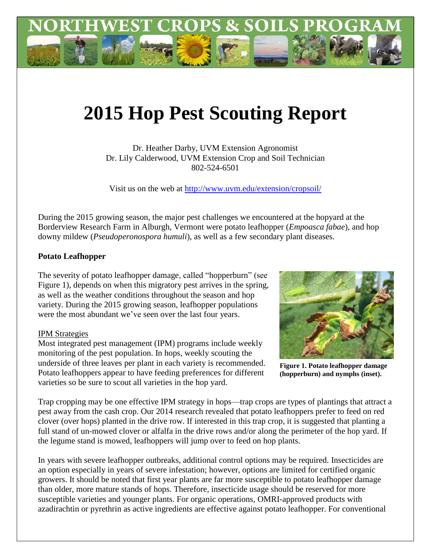

## **2015 Hop Pest Scouting Report**

Dr. Heather Darby, UVM Extension Agronomist Dr. Lily Calderwood, UVM Extension Crop and Soil Technician 802-524-6501

Visit us on the web at<http://www.uvm.edu/extension/cropsoil/>

During the 2015 growing season, the major pest challenges we encountered at the hopyard at the Borderview Research Farm in Alburgh, Vermont were potato leafhopper (*Empoasca fabae*), and hop downy mildew (*Pseudoperonospora humuli*), as well as a few secondary plant diseases.

## **Potato Leafhopper**

The severity of potato leafhopper damage, called "hopperburn" (see Figure 1), depends on when this migratory pest arrives in the spring, as well as the weather conditions throughout the season and hop variety. During the 2015 growing season, leafhopper populations were the most abundant we've seen over the last four years.

## IPM Strategies

Most integrated pest management (IPM) programs include weekly monitoring of the pest population. In hops, weekly scouting the underside of three leaves per plant in each variety is recommended. Potato leafhoppers appear to have feeding preferences for different varieties so be sure to scout all varieties in the hop yard.



**Figure 1. Potato leafhopper damage (hopperburn) and nymphs (inset).**

Trap cropping may be one effective IPM strategy in hops—trap crops are types of plantings that attract a pest away from the cash crop. Our 2014 research revealed that potato leafhoppers prefer to feed on red clover (over hops) planted in the drive row. If interested in this trap crop, it is suggested that planting a full stand of un-mowed clover or alfalfa in the drive rows and/or along the perimeter of the hop yard. If the legume stand is mowed, leafhoppers will jump over to feed on hop plants.

In years with severe leafhopper outbreaks, additional control options may be required. Insecticides are an option especially in years of severe infestation; however, options are limited for certified organic growers. It should be noted that first year plants are far more susceptible to potato leafhopper damage than older, more mature stands of hops. Therefore, insecticide usage should be reserved for more susceptible varieties and younger plants. For organic operations, OMRI-approved products with azadirachtin or pyrethrin as active ingredients are effective against potato leafhopper. For conventional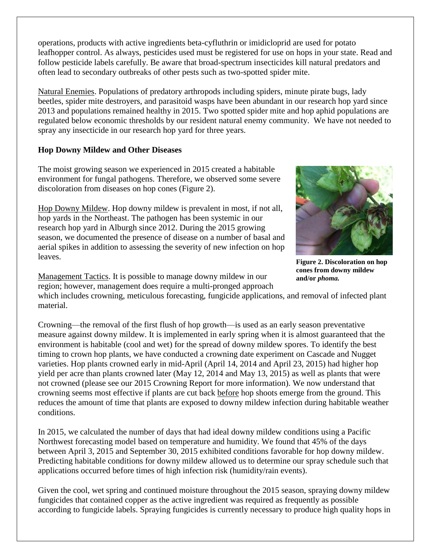operations, products with active ingredients beta-cyfluthrin or imidicloprid are used for potato leafhopper control. As always, pesticides used must be registered for use on hops in your state. Read and follow pesticide labels carefully. Be aware that broad-spectrum insecticides kill natural predators and often lead to secondary outbreaks of other pests such as two-spotted spider mite.

Natural Enemies. Populations of predatory arthropods including spiders, minute pirate bugs, lady beetles, spider mite destroyers, and parasitoid wasps have been abundant in our research hop yard since 2013 and populations remained healthy in 2015. Two spotted spider mite and hop aphid populations are regulated below economic thresholds by our resident natural enemy community. We have not needed to spray any insecticide in our research hop yard for three years.

## **Hop Downy Mildew and Other Diseases**

The moist growing season we experienced in 2015 created a habitable environment for fungal pathogens. Therefore, we observed some severe discoloration from diseases on hop cones (Figure 2).

Hop Downy Mildew. Hop downy mildew is prevalent in most, if not all, hop yards in the Northeast. The pathogen has been systemic in our research hop yard in Alburgh since 2012. During the 2015 growing season, we documented the presence of disease on a number of basal and aerial spikes in addition to assessing the severity of new infection on hop leaves.

Management Tactics. It is possible to manage downy mildew in our region; however, management does require a multi-pronged approach

**Figure 2. Discoloration on hop cones from downy mildew and/or** *phoma.*

which includes crowning, meticulous forecasting, fungicide applications, and removal of infected plant material.

Crowning—the removal of the first flush of hop growth—is used as an early season preventative measure against downy mildew. It is implemented in early spring when it is almost guaranteed that the environment is habitable (cool and wet) for the spread of downy mildew spores. To identify the best timing to crown hop plants, we have conducted a crowning date experiment on Cascade and Nugget varieties. Hop plants crowned early in mid-April (April 14, 2014 and April 23, 2015) had higher hop yield per acre than plants crowned later (May 12, 2014 and May 13, 2015) as well as plants that were not crowned (please see our 2015 Crowning Report for more information). We now understand that crowning seems most effective if plants are cut back before hop shoots emerge from the ground. This reduces the amount of time that plants are exposed to downy mildew infection during habitable weather conditions.

In 2015, we calculated the number of days that had ideal downy mildew conditions using a Pacific Northwest forecasting model based on temperature and humidity. We found that 45% of the days between April 3, 2015 and September 30, 2015 exhibited conditions favorable for hop downy mildew. Predicting habitable conditions for downy mildew allowed us to determine our spray schedule such that applications occurred before times of high infection risk (humidity/rain events).

Given the cool, wet spring and continued moisture throughout the 2015 season, spraying downy mildew fungicides that contained copper as the active ingredient was required as frequently as possible according to fungicide labels. Spraying fungicides is currently necessary to produce high quality hops in